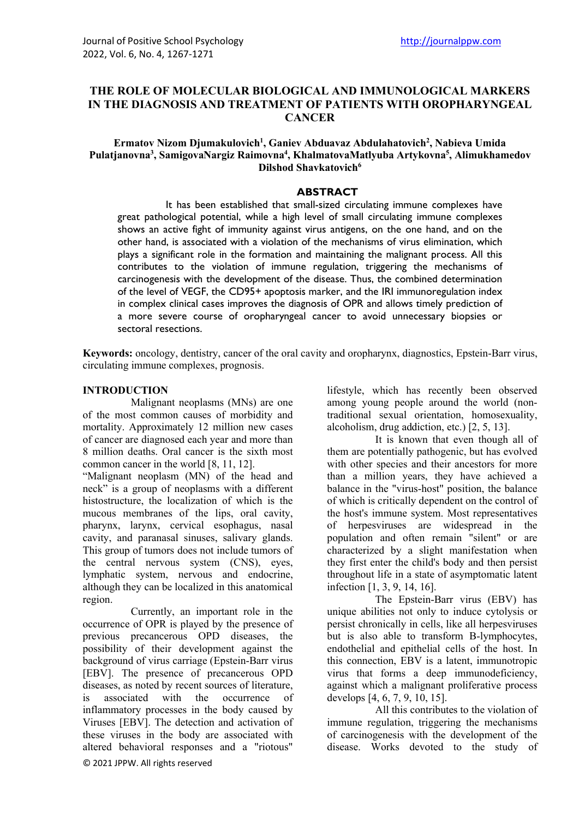# **THE ROLE OF MOLECULAR BIOLOGICAL AND IMMUNOLOGICAL MARKERS IN THE DIAGNOSIS AND TREATMENT OF PATIENTS WITH OROPHARYNGEAL CANCER**

### Ermatov Nizom Djumakulovich<sup>1</sup>, Ganiev Abduavaz Abdulahatovich<sup>2</sup>, Nabieva Umida Pulatjanovna<sup>3</sup>, SamigovaNargiz Raimovna<sup>4</sup>, KhalmatovaMatlyuba Artykovna<sup>5</sup>, Alimukhamedov **Dilshod Shavkatovich6**

#### **ABSTRACT**

It has been established that small-sized circulating immune complexes have great pathological potential, while a high level of small circulating immune complexes shows an active fight of immunity against virus antigens, on the one hand, and on the other hand, is associated with a violation of the mechanisms of virus elimination, which plays a significant role in the formation and maintaining the malignant process. All this contributes to the violation of immune regulation, triggering the mechanisms of carcinogenesis with the development of the disease. Thus, the combined determination of the level of VEGF, the CD95+ apoptosis marker, and the IRI immunoregulation index in complex clinical cases improves the diagnosis of OPR and allows timely prediction of a more severe course of oropharyngeal cancer to avoid unnecessary biopsies or sectoral resections.

**Keywords:** oncology, dentistry, cancer of the oral cavity and oropharynx, diagnostics, Epstein-Barr virus, circulating immune complexes, prognosis.

#### **INTRODUCTION**

Malignant neoplasms (MNs) are one of the most common causes of morbidity and mortality. Approximately 12 million new cases of cancer are diagnosed each year and more than 8 million deaths. Oral cancer is the sixth most common cancer in the world [8, 11, 12].

"Malignant neoplasm (MN) of the head and neck" is a group of neoplasms with a different histostructure, the localization of which is the mucous membranes of the lips, oral cavity, pharynx, larynx, cervical esophagus, nasal cavity, and paranasal sinuses, salivary glands. This group of tumors does not include tumors of the central nervous system (CNS), eyes, lymphatic system, nervous and endocrine, although they can be localized in this anatomical region.

© 2021 JPPW. All rights reserved Currently, an important role in the occurrence of OPR is played by the presence of previous precancerous OPD diseases, the possibility of their development against the background of virus carriage (Epstein-Barr virus [EBV]. The presence of precancerous OPD diseases, as noted by recent sources of literature, is associated with the occurrence of inflammatory processes in the body caused by Viruses [EBV]. The detection and activation of these viruses in the body are associated with altered behavioral responses and a "riotous"

lifestyle, which has recently been observed among young people around the world (nontraditional sexual orientation, homosexuality, alcoholism, drug addiction, etc.) [2, 5, 13].

It is known that even though all of them are potentially pathogenic, but has evolved with other species and their ancestors for more than a million years, they have achieved a balance in the "virus-host" position, the balance of which is critically dependent on the control of the host's immune system. Most representatives of herpesviruses are widespread in the population and often remain "silent" or are characterized by a slight manifestation when they first enter the child's body and then persist throughout life in a state of asymptomatic latent infection [1, 3, 9, 14, 16].

The Epstein-Barr virus (EBV) has unique abilities not only to induce cytolysis or persist chronically in cells, like all herpesviruses but is also able to transform B-lymphocytes, endothelial and epithelial cells of the host. In this connection, EBV is a latent, immunotropic virus that forms a deep immunodeficiency, against which a malignant proliferative process develops [4, 6, 7, 9, 10, 15].

All this contributes to the violation of immune regulation, triggering the mechanisms of carcinogenesis with the development of the disease. Works devoted to the study of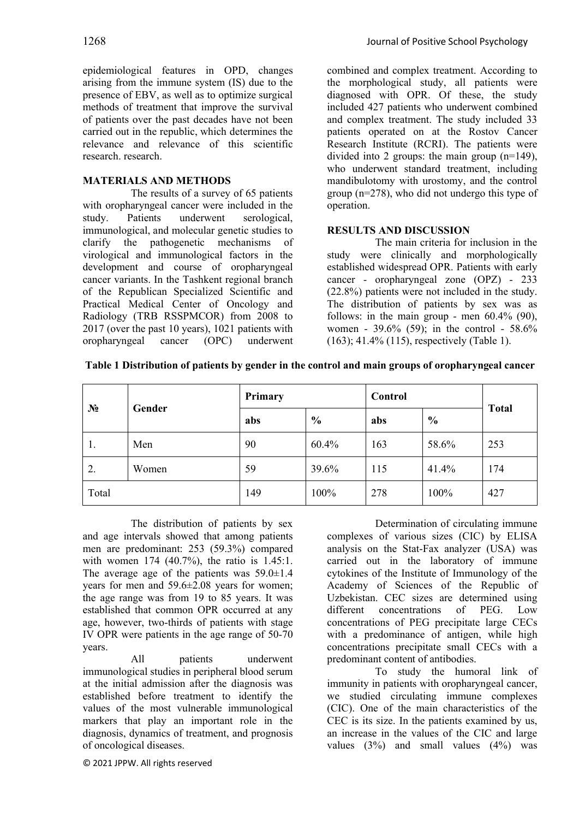epidemiological features in OPD, changes arising from the immune system (IS) due to the presence of EBV, as well as to optimize surgical methods of treatment that improve the survival of patients over the past decades have not been carried out in the republic, which determines the relevance and relevance of this scientific research. research.

## **MATERIALS AND METHODS**

The results of a survey of 65 patients with oropharyngeal cancer were included in the study. Patients underwent serological, immunological, and molecular genetic studies to clarify the pathogenetic mechanisms of virological and immunological factors in the development and course of oropharyngeal cancer variants. In the Tashkent regional branch of the Republican Specialized Scientific and Practical Medical Center of Oncology and Radiology (TRB RSSPMCOR) from 2008 to 2017 (over the past 10 years), 1021 patients with oropharyngeal cancer (OPC) underwent combined and complex treatment. According to the morphological study, all patients were diagnosed with OPR. Of these, the study included 427 patients who underwent combined and complex treatment. The study included 33 patients operated on at the Rostov Cancer Research Institute (RCRI). The patients were divided into 2 groups: the main group (n=149), who underwent standard treatment, including mandibulotomy with urostomy, and the control group (n=278), who did not undergo this type of operation.

## **RESULTS AND DISCUSSION**

The main criteria for inclusion in the study were clinically and morphologically established widespread OPR. Patients with early cancer - oropharyngeal zone (OPZ) - 233 (22.8%) patients were not included in the study. The distribution of patients by sex was as follows: in the main group - men  $60.4\%$  (90), women - 39.6% (59); in the control - 58.6% (163); 41.4% (115), respectively (Table 1).

| $N_2$ | Gender | Primary |               | Control |               |              |
|-------|--------|---------|---------------|---------|---------------|--------------|
|       |        | abs     | $\frac{6}{6}$ | abs     | $\frac{6}{6}$ | <b>Total</b> |
| 1.    | Men    | 90      | 60.4%         | 163     | 58.6%         | 253          |
| 2.    | Women  | 59      | 39.6%         | 115     | 41.4%         | 174          |
| Total |        | 149     | 100%          | 278     | 100%          | 427          |

**Table 1 Distribution of patients by gender in the control and main groups of oropharyngeal cancer**

The distribution of patients by sex and age intervals showed that among patients men are predominant: 253 (59.3%) compared with women 174 (40.7%), the ratio is 1.45:1. The average age of the patients was  $59.0 \pm 1.4$ years for men and 59.6±2.08 years for women; the age range was from 19 to 85 years. It was established that common OPR occurred at any age, however, two-thirds of patients with stage IV OPR were patients in the age range of 50-70 years.

All patients underwent immunological studies in peripheral blood serum at the initial admission after the diagnosis was established before treatment to identify the values of the most vulnerable immunological markers that play an important role in the diagnosis, dynamics of treatment, and prognosis of oncological diseases.

Determination of circulating immune complexes of various sizes (CIC) by ELISA analysis on the Stat-Fax analyzer (USA) was carried out in the laboratory of immune cytokines of the Institute of Immunology of the Academy of Sciences of the Republic of Uzbekistan. CEC sizes are determined using different concentrations of PEG. Low concentrations of PEG precipitate large CECs with a predominance of antigen, while high concentrations precipitate small CECs with a predominant content of antibodies.

To study the humoral link of immunity in patients with oropharyngeal cancer, we studied circulating immune complexes (CIC). One of the main characteristics of the CEC is its size. In the patients examined by us, an increase in the values of the CIC and large values  $(3%)$  and small values  $(4%)$  was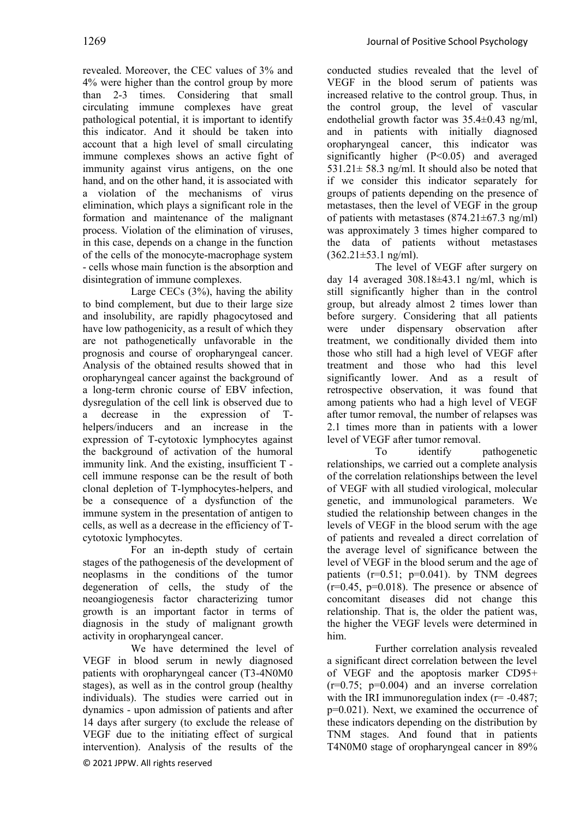revealed. Moreover, the CEC values of 3% and 4% were higher than the control group by more than 2-3 times. Considering that small circulating immune complexes have great pathological potential, it is important to identify this indicator. And it should be taken into account that a high level of small circulating immune complexes shows an active fight of immunity against virus antigens, on the one hand, and on the other hand, it is associated with a violation of the mechanisms of virus elimination, which plays a significant role in the formation and maintenance of the malignant process. Violation of the elimination of viruses, in this case, depends on a change in the function of the cells of the monocyte-macrophage system - cells whose main function is the absorption and disintegration of immune complexes.

Large CECs (3%), having the ability to bind complement, but due to their large size and insolubility, are rapidly phagocytosed and have low pathogenicity, as a result of which they are not pathogenetically unfavorable in the prognosis and course of oropharyngeal cancer. Analysis of the obtained results showed that in oropharyngeal cancer against the background of a long-term chronic course of EBV infection, dysregulation of the cell link is observed due to a decrease in the expression of Thelpers/inducers and an increase in the expression of T-cytotoxic lymphocytes against the background of activation of the humoral immunity link. And the existing, insufficient T cell immune response can be the result of both clonal depletion of T-lymphocytes-helpers, and be a consequence of a dysfunction of the immune system in the presentation of antigen to cells, as well as a decrease in the efficiency of Tcytotoxic lymphocytes.

For an in-depth study of certain stages of the pathogenesis of the development of neoplasms in the conditions of the tumor degeneration of cells, the study of the neoangiogenesis factor characterizing tumor growth is an important factor in terms of diagnosis in the study of malignant growth activity in oropharyngeal cancer.

© 2021 JPPW. All rights reserved We have determined the level of VEGF in blood serum in newly diagnosed patients with oropharyngeal cancer (T3-4N0M0 stages), as well as in the control group (healthy individuals). The studies were carried out in dynamics - upon admission of patients and after 14 days after surgery (to exclude the release of VEGF due to the initiating effect of surgical intervention). Analysis of the results of the

conducted studies revealed that the level of VEGF in the blood serum of patients was increased relative to the control group. Thus, in the control group, the level of vascular endothelial growth factor was 35.4±0.43 ng/ml, and in patients with initially diagnosed oropharyngeal cancer, this indicator was significantly higher (P<0.05) and averaged 531.21 $\pm$  58.3 ng/ml. It should also be noted that if we consider this indicator separately for groups of patients depending on the presence of metastases, then the level of VEGF in the group of patients with metastases  $(874.21 \pm 67.3 \text{ ng/ml})$ was approximately 3 times higher compared to the data of patients without metastases  $(362.21 \pm 53.1 \text{ ng/ml})$ .

The level of VEGF after surgery on day 14 averaged 308.18±43.1 ng/ml, which is still significantly higher than in the control group, but already almost 2 times lower than before surgery. Considering that all patients were under dispensary observation after treatment, we conditionally divided them into those who still had a high level of VEGF after treatment and those who had this level significantly lower. And as a result of retrospective observation, it was found that among patients who had a high level of VEGF after tumor removal, the number of relapses was 2.1 times more than in patients with a lower level of VEGF after tumor removal.

To identify pathogenetic relationships, we carried out a complete analysis of the correlation relationships between the level of VEGF with all studied virological, molecular genetic, and immunological parameters. We studied the relationship between changes in the levels of VEGF in the blood serum with the age of patients and revealed a direct correlation of the average level of significance between the level of VEGF in the blood serum and the age of patients ( $r=0.51$ ;  $p=0.041$ ). by TNM degrees  $(r=0.45, p=0.018)$ . The presence or absence of concomitant diseases did not change this relationship. That is, the older the patient was, the higher the VEGF levels were determined in him.

Further correlation analysis revealed a significant direct correlation between the level of VEGF and the apoptosis marker CD95+  $(r=0.75; p=0.004)$  and an inverse correlation with the IRI immunoregulation index  $(r= -0.487;$ p=0.021). Next, we examined the occurrence of these indicators depending on the distribution by TNM stages. And found that in patients T4N0M0 stage of oropharyngeal cancer in 89%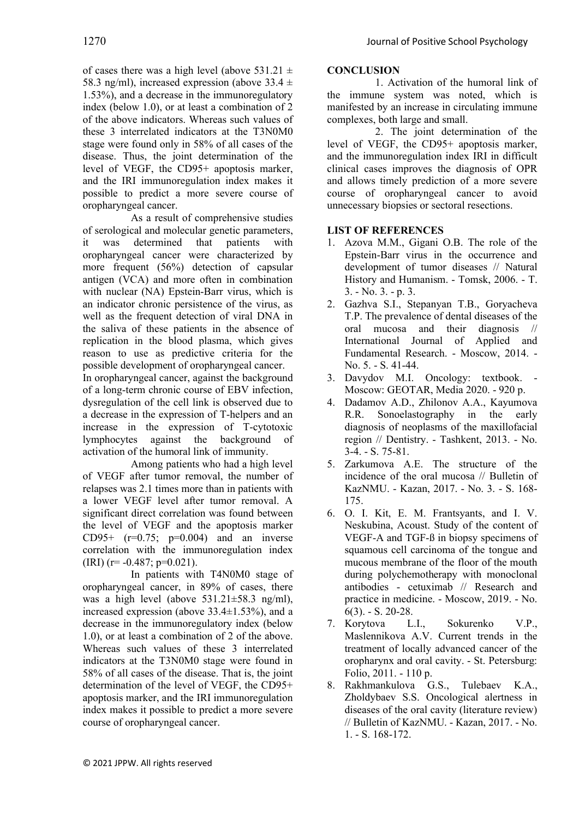of cases there was a high level (above 531.21  $\pm$ 58.3 ng/ml), increased expression (above  $33.4 \pm$ 1.53%), and a decrease in the immunoregulatory index (below 1.0), or at least a combination of 2 of the above indicators. Whereas such values of these 3 interrelated indicators at the T3N0M0 stage were found only in 58% of all cases of the disease. Thus, the joint determination of the level of VEGF, the CD95+ apoptosis marker, and the IRI immunoregulation index makes it possible to predict a more severe course of oropharyngeal cancer.

As a result of comprehensive studies of serological and molecular genetic parameters, it was determined that patients with oropharyngeal cancer were characterized by more frequent (56%) detection of capsular antigen (VCA) and more often in combination with nuclear (NA) Epstein-Barr virus, which is an indicator chronic persistence of the virus, as well as the frequent detection of viral DNA in the saliva of these patients in the absence of replication in the blood plasma, which gives reason to use as predictive criteria for the possible development of oropharyngeal cancer.

In oropharyngeal cancer, against the background of a long-term chronic course of EBV infection, dysregulation of the cell link is observed due to a decrease in the expression of T-helpers and an increase in the expression of T-cytotoxic lymphocytes against the background of activation of the humoral link of immunity.

Among patients who had a high level of VEGF after tumor removal, the number of relapses was 2.1 times more than in patients with a lower VEGF level after tumor removal. A significant direct correlation was found between the level of VEGF and the apoptosis marker CD95+  $(r=0.75; p=0.004)$  and an inverse correlation with the immunoregulation index  $(IRI)$  (r= -0.487; p=0.021).

In patients with T4N0M0 stage of oropharyngeal cancer, in 89% of cases, there was a high level (above 531.21±58.3 ng/ml), increased expression (above 33.4±1.53%), and a decrease in the immunoregulatory index (below 1.0), or at least a combination of 2 of the above. Whereas such values of these 3 interrelated indicators at the T3N0M0 stage were found in 58% of all cases of the disease. That is, the joint determination of the level of VEGF, the CD95+ apoptosis marker, and the IRI immunoregulation index makes it possible to predict a more severe course of oropharyngeal cancer.

### **CONCLUSION**

1. Activation of the humoral link of the immune system was noted, which is manifested by an increase in circulating immune complexes, both large and small.

2. The joint determination of the level of VEGF, the CD95+ apoptosis marker, and the immunoregulation index IRI in difficult clinical cases improves the diagnosis of OPR and allows timely prediction of a more severe course of oropharyngeal cancer to avoid unnecessary biopsies or sectoral resections.

# **LIST OF REFERENCES**

- 1. Azova M.M., Gigani O.B. The role of the Epstein-Barr virus in the occurrence and development of tumor diseases // Natural History and Humanism. - Tomsk, 2006. - T. 3. - No. 3. - p. 3.
- 2. Gazhva S.I., Stepanyan T.B., Goryacheva T.P. The prevalence of dental diseases of the oral mucosa and their diagnosis // International Journal of Applied and Fundamental Research. - Moscow, 2014. - No. 5. - S. 41-44.
- 3. Davydov M.I. Oncology: textbook. Moscow: GEOTAR, Media 2020. - 920 p.
- 4. Dadamov A.D., Zhilonov A.A., Kayumova R.R. Sonoelastography in the early diagnosis of neoplasms of the maxillofacial region // Dentistry. - Tashkent, 2013. - No. 3-4. - S. 75-81.
- 5. Zarkumova A.E. The structure of the incidence of the oral mucosa // Bulletin of KazNMU. - Kazan, 2017. - No. 3. - S. 168- 175.
- 6. O. I. Kit, E. M. Frantsyants, and I. V. Neskubina, Acoust. Study of the content of VEGF-A and TGF-ß in biopsy specimens of squamous cell carcinoma of the tongue and mucous membrane of the floor of the mouth during polychemotherapy with monoclonal antibodies - cetuximab // Research and practice in medicine. - Moscow, 2019. - No. 6(3). - S. 20-28.
- 7. Korytova L.I., Sokurenko V.P., Maslennikova A.V. Current trends in the treatment of locally advanced cancer of the oropharynx and oral cavity. - St. Petersburg: Folio, 2011. - 110 p.
- 8. Rakhmankulova G.S., Tulebaev K.A., Zholdybaev S.S. Oncological alertness in diseases of the oral cavity (literature review) // Bulletin of KazNMU. - Kazan, 2017. - No. 1. - S. 168-172.